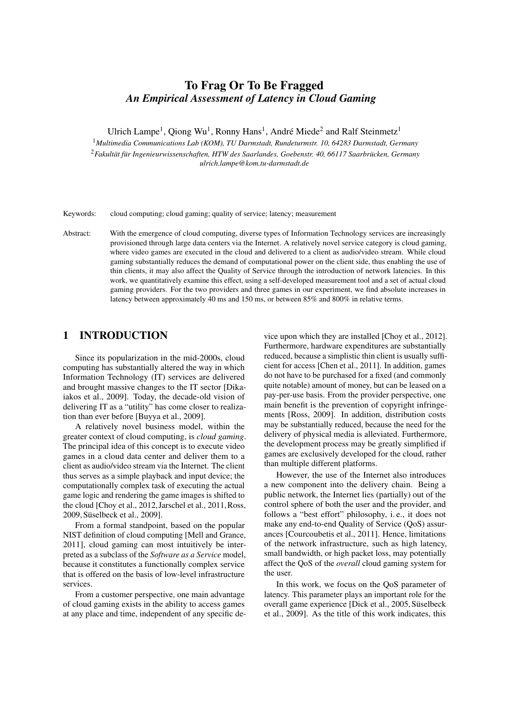# To Frag Or To Be Fragged *An Empirical Assessment of Latency in Cloud Gaming*

Ulrich Lampe<sup>1</sup>, Qiong Wu<sup>1</sup>, Ronny Hans<sup>1</sup>, André Miede<sup>2</sup> and Ralf Steinmetz<sup>1</sup>

<sup>1</sup>*Multimedia Communications Lab (KOM), TU Darmstadt, Rundeturmstr. 10, 64283 Darmstadt, Germany* <sup>2</sup> Fakultät für Ingenieurwissenschaften, HTW des Saarlandes, Goebenstr. 40, 66117 Saarbrücken, Germany *ulrich.lampe@kom.tu-darmstadt.de*

Keywords: cloud computing; cloud gaming; quality of service; latency; measurement

Abstract: With the emergence of cloud computing, diverse types of Information Technology services are increasingly provisioned through large data centers via the Internet. A relatively novel service category is cloud gaming, where video games are executed in the cloud and delivered to a client as audio/video stream. While cloud gaming substantially reduces the demand of computational power on the client side, thus enabling the use of thin clients, it may also affect the Quality of Service through the introduction of network latencies. In this work, we quantitatively examine this effect, using a self-developed measurement tool and a set of actual cloud gaming providers. For the two providers and three games in our experiment, we find absolute increases in latency between approximately 40 ms and 150 ms, or between 85% and 800% in relative terms.

## <span id="page-0-0"></span>1 INTRODUCTION

Since its popularization in the mid-2000s, cloud computing has substantially altered the way in which Information Technology (IT) services are delivered and brought massive changes to the IT sector [\[Dika](#page-6-0)[iakos et al., 2009\]](#page-6-0). Today, the decade-old vision of delivering IT as a "utility" has come closer to realization than ever before [\[Buyya et al., 2009\]](#page-6-1).

A relatively novel business model, within the greater context of cloud computing, is *cloud gaming*. The principal idea of this concept is to execute video games in a cloud data center and deliver them to a client as audio/video stream via the Internet. The client thus serves as a simple playback and input device; the computationally complex task of executing the actual game logic and rendering the game images is shifted to the cloud [\[Choy et al., 2012,](#page-6-2) [Jarschel et al., 2011,](#page-6-3)[Ross,](#page-6-4) [2009,](#page-6-4) Süselbeck et al., 2009].

From a formal standpoint, based on the popular NIST definition of cloud computing [\[Mell and Grance,](#page-6-6) [2011\]](#page-6-6), cloud gaming can most intuitively be interpreted as a subclass of the *Software as a Service* model, because it constitutes a functionally complex service that is offered on the basis of low-level infrastructure services.

From a customer perspective, one main advantage of cloud gaming exists in the ability to access games at any place and time, independent of any specific de-

vice upon which they are installed [\[Choy et al., 2012\]](#page-6-2). Furthermore, hardware expenditures are substantially reduced, because a simplistic thin client is usually sufficient for access [\[Chen et al., 2011\]](#page-6-7). In addition, games do not have to be purchased for a fixed (and commonly quite notable) amount of money, but can be leased on a pay-per-use basis. From the provider perspective, one main benefit is the prevention of copyright infringements [\[Ross, 2009\]](#page-6-4). In addition, distribution costs may be substantially reduced, because the need for the delivery of physical media is alleviated. Furthermore, the development process may be greatly simplified if games are exclusively developed for the cloud, rather than multiple different platforms.

However, the use of the Internet also introduces a new component into the delivery chain. Being a public network, the Internet lies (partially) out of the control sphere of both the user and the provider, and follows a "best effort" philosophy, i. e., it does not make any end-to-end Quality of Service (QoS) assurances [\[Courcoubetis et al., 2011\]](#page-6-8). Hence, limitations of the network infrastructure, such as high latency, small bandwidth, or high packet loss, may potentially affect the QoS of the *overall* cloud gaming system for the user.

In this work, we focus on the QoS parameter of latency. This parameter plays an important role for the overall game experience [\[Dick et al., 2005,](#page-6-9) Süselbeck] [et al., 2009\]](#page-6-5). As the title of this work indicates, this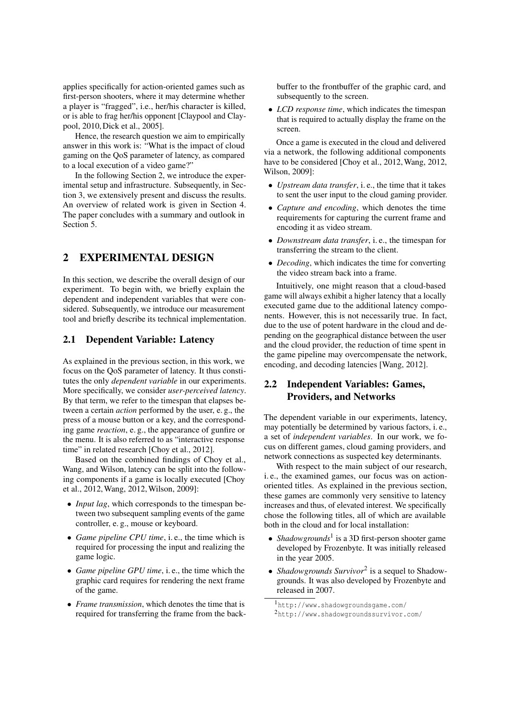applies specifically for action-oriented games such as first-person shooters, where it may determine whether a player is "fragged", i.e., her/his character is killed, or is able to frag her/his opponent [\[Claypool and Clay](#page-6-10)[pool, 2010,](#page-6-10) [Dick et al., 2005\]](#page-6-9).

Hence, the research question we aim to empirically answer in this work is: "What is the impact of cloud gaming on the QoS parameter of latency, as compared to a local execution of a video game?"

In the following Section [2,](#page-1-0) we introduce the experimental setup and infrastructure. Subsequently, in Section [3,](#page-3-0) we extensively present and discuss the results. An overview of related work is given in Section [4.](#page-4-0) The paper concludes with a summary and outlook in Section [5.](#page-5-0)

## <span id="page-1-0"></span>2 EXPERIMENTAL DESIGN

In this section, we describe the overall design of our experiment. To begin with, we briefly explain the dependent and independent variables that were considered. Subsequently, we introduce our measurement tool and briefly describe its technical implementation.

#### <span id="page-1-1"></span>2.1 Dependent Variable: Latency

As explained in the previous section, in this work, we focus on the QoS parameter of latency. It thus constitutes the only *dependent variable* in our experiments. More specifically, we consider *user-perceived latency*. By that term, we refer to the timespan that elapses between a certain *action* performed by the user, e. g., the press of a mouse button or a key, and the corresponding game *reaction*, e. g., the appearance of gunfire or the menu. It is also referred to as "interactive response time" in related research [\[Choy et al., 2012\]](#page-6-2).

Based on the combined findings of Choy et al., Wang, and Wilson, latency can be split into the following components if a game is locally executed [\[Choy](#page-6-2) [et al., 2012,](#page-6-2)[Wang, 2012,](#page-6-11)[Wilson, 2009\]](#page-6-12):

- *Input lag*, which corresponds to the timespan between two subsequent sampling events of the game controller, e. g., mouse or keyboard.
- *Game pipeline CPU time*, i. e., the time which is required for processing the input and realizing the game logic.
- *Game pipeline GPU time*, i. e., the time which the graphic card requires for rendering the next frame of the game.
- *Frame transmission*, which denotes the time that is required for transferring the frame from the back-

buffer to the frontbuffer of the graphic card, and subsequently to the screen.

• *LCD response time*, which indicates the timespan that is required to actually display the frame on the screen.

Once a game is executed in the cloud and delivered via a network, the following additional components have to be considered [\[Choy et al., 2012,](#page-6-2) [Wang, 2012,](#page-6-11) [Wilson, 2009\]](#page-6-12):

- *Upstream data transfer*, i. e., the time that it takes to sent the user input to the cloud gaming provider.
- *Capture and encoding*, which denotes the time requirements for capturing the current frame and encoding it as video stream.
- *Downstream data transfer*, i. e., the timespan for transferring the stream to the client.
- *Decoding*, which indicates the time for converting the video stream back into a frame.

Intuitively, one might reason that a cloud-based game will always exhibit a higher latency that a locally executed game due to the additional latency components. However, this is not necessarily true. In fact, due to the use of potent hardware in the cloud and depending on the geographical distance between the user and the cloud provider, the reduction of time spent in the game pipeline may overcompensate the network, encoding, and decoding latencies [\[Wang, 2012\]](#page-6-11).

## 2.2 Independent Variables: Games, Providers, and Networks

The dependent variable in our experiments, latency, may potentially be determined by various factors, i. e., a set of *independent variables*. In our work, we focus on different games, cloud gaming providers, and network connections as suspected key determinants.

With respect to the main subject of our research, i. e., the examined games, our focus was on actionoriented titles. As explained in the previous section, these games are commonly very sensitive to latency increases and thus, of elevated interest. We specifically chose the following titles, all of which are available both in the cloud and for local installation:

- *Shadowgrounds*<sup>1</sup> is a 3D first-person shooter game developed by Frozenbyte. It was initially released in the year 2005.
- *Shadowgrounds Survivor*<sup>2</sup> is a sequel to Shadowgrounds. It was also developed by Frozenbyte and released in 2007.

<sup>1</sup><http://www.shadowgroundsgame.com/>

 $^{2}$ <http://www.shadowgroundssurvivor.com/>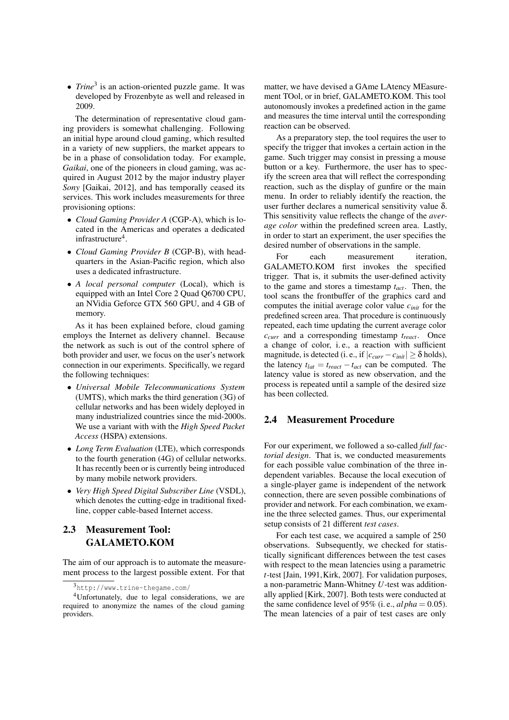• *Trine*<sup>3</sup> is an action-oriented puzzle game. It was developed by Frozenbyte as well and released in 2009.

The determination of representative cloud gaming providers is somewhat challenging. Following an initial hype around cloud gaming, which resulted in a variety of new suppliers, the market appears to be in a phase of consolidation today. For example, *Gaikai*, one of the pioneers in cloud gaming, was acquired in August 2012 by the major industry player *Sony* [\[Gaikai, 2012\]](#page-6-13), and has temporally ceased its services. This work includes measurements for three provisioning options:

- *Cloud Gaming Provider A* (CGP-A), which is located in the Americas and operates a dedicated infrastructure<sup>4</sup>.
- *Cloud Gaming Provider B* (CGP-B), with headquarters in the Asian-Pacific region, which also uses a dedicated infrastructure.
- *A local personal computer* (Local), which is equipped with an Intel Core 2 Quad Q6700 CPU, an NVidia Geforce GTX 560 GPU, and 4 GB of memory.

As it has been explained before, cloud gaming employs the Internet as delivery channel. Because the network as such is out of the control sphere of both provider and user, we focus on the user's network connection in our experiments. Specifically, we regard the following techniques:

- *Universal Mobile Telecommunications System* (UMTS), which marks the third generation (3G) of cellular networks and has been widely deployed in many industrialized countries since the mid-2000s. We use a variant with with the *High Speed Packet Access* (HSPA) extensions.
- *Long Term Evaluation* (LTE), which corresponds to the fourth generation (4G) of cellular networks. It has recently been or is currently being introduced by many mobile network providers.
- *Very High Speed Digital Subscriber Line* (VSDL), which denotes the cutting-edge in traditional fixedline, copper cable-based Internet access.

## 2.3 Measurement Tool: GALAMETO.KOM

The aim of our approach is to automate the measurement process to the largest possible extent. For that

matter, we have devised a GAme LAtency MEasurement TOol, or in brief, GALAMETO.KOM. This tool autonomously invokes a predefined action in the game and measures the time interval until the corresponding reaction can be observed.

As a preparatory step, the tool requires the user to specify the trigger that invokes a certain action in the game. Such trigger may consist in pressing a mouse button or a key. Furthermore, the user has to specify the screen area that will reflect the corresponding reaction, such as the display of gunfire or the main menu. In order to reliably identify the reaction, the user further declares a numerical sensitivity value  $δ$ . This sensitivity value reflects the change of the *average color* within the predefined screen area. Lastly, in order to start an experiment, the user specifies the desired number of observations in the sample.

For each measurement iteration, GALAMETO.KOM first invokes the specified trigger. That is, it submits the user-defined activity to the game and stores a timestamp *tact*. Then, the tool scans the frontbuffer of the graphics card and computes the initial average color value *cinit* for the predefined screen area. That procedure is continuously repeated, each time updating the current average color *ccurr* and a corresponding timestamp *treact*. Once a change of color, i. e., a reaction with sufficient magnitude, is detected (i. e., if  $|c_{curr} - c_{init}| \ge \delta$  holds), the latency  $t_{lat} = t_{react} - t_{act}$  can be computed. The latency value is stored as new observation, and the process is repeated until a sample of the desired size has been collected.

#### 2.4 Measurement Procedure

For our experiment, we followed a so-called *full factorial design*. That is, we conducted measurements for each possible value combination of the three independent variables. Because the local execution of a single-player game is independent of the network connection, there are seven possible combinations of provider and network. For each combination, we examine the three selected games. Thus, our experimental setup consists of 21 different *test cases*.

For each test case, we acquired a sample of 250 observations. Subsequently, we checked for statistically significant differences between the test cases with respect to the mean latencies using a parametric *t*-test [\[Jain, 1991,](#page-6-14)[Kirk, 2007\]](#page-6-15). For validation purposes, a non-parametric Mann-Whitney *U*-test was additionally applied [\[Kirk, 2007\]](#page-6-15). Both tests were conducted at the same confidence level of 95% (i. e.,  $alpha = 0.05$ ). The mean latencies of a pair of test cases are only

<sup>3</sup><http://www.trine-thegame.com/>

<sup>4</sup>Unfortunately, due to legal considerations, we are required to anonymize the names of the cloud gaming providers.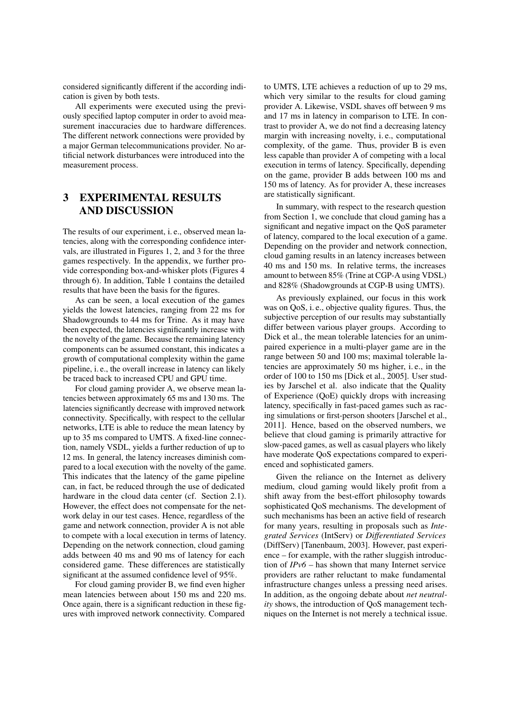considered significantly different if the according indication is given by both tests.

All experiments were executed using the previously specified laptop computer in order to avoid measurement inaccuracies due to hardware differences. The different network connections were provided by a major German telecommunications provider. No artificial network disturbances were introduced into the measurement process.

# <span id="page-3-0"></span>3 EXPERIMENTAL RESULTS AND DISCUSSION

The results of our experiment, i. e., observed mean latencies, along with the corresponding confidence intervals, are illustrated in Figures [1,](#page-4-1) [2,](#page-4-2) and [3](#page-4-3) for the three games respectively. In the appendix, we further provide corresponding box-and-whisker plots (Figures [4](#page-7-0) through [6\)](#page-7-1). In addition, Table [1](#page-7-2) contains the detailed results that have been the basis for the figures.

As can be seen, a local execution of the games yields the lowest latencies, ranging from 22 ms for Shadowgrounds to 44 ms for Trine. As it may have been expected, the latencies significantly increase with the novelty of the game. Because the remaining latency components can be assumed constant, this indicates a growth of computational complexity within the game pipeline, i. e., the overall increase in latency can likely be traced back to increased CPU and GPU time.

For cloud gaming provider A, we observe mean latencies between approximately 65 ms and 130 ms. The latencies significantly decrease with improved network connectivity. Specifically, with respect to the cellular networks, LTE is able to reduce the mean latency by up to 35 ms compared to UMTS. A fixed-line connection, namely VSDL, yields a further reduction of up to 12 ms. In general, the latency increases diminish compared to a local execution with the novelty of the game. This indicates that the latency of the game pipeline can, in fact, be reduced through the use of dedicated hardware in the cloud data center (cf. Section [2.1\)](#page-1-1). However, the effect does not compensate for the network delay in our test cases. Hence, regardless of the game and network connection, provider A is not able to compete with a local execution in terms of latency. Depending on the network connection, cloud gaming adds between 40 ms and 90 ms of latency for each considered game. These differences are statistically significant at the assumed confidence level of 95%.

For cloud gaming provider B, we find even higher mean latencies between about 150 ms and 220 ms. Once again, there is a significant reduction in these figures with improved network connectivity. Compared

to UMTS, LTE achieves a reduction of up to 29 ms, which very similar to the results for cloud gaming provider A. Likewise, VSDL shaves off between 9 ms and 17 ms in latency in comparison to LTE. In contrast to provider A, we do not find a decreasing latency margin with increasing novelty, i. e., computational complexity, of the game. Thus, provider B is even less capable than provider A of competing with a local execution in terms of latency. Specifically, depending on the game, provider B adds between 100 ms and 150 ms of latency. As for provider A, these increases are statistically significant.

In summary, with respect to the research question from Section [1,](#page-0-0) we conclude that cloud gaming has a significant and negative impact on the QoS parameter of latency, compared to the local execution of a game. Depending on the provider and network connection, cloud gaming results in an latency increases between 40 ms and 150 ms. In relative terms, the increases amount to between 85% (Trine at CGP-A using VDSL) and 828% (Shadowgrounds at CGP-B using UMTS).

As previously explained, our focus in this work was on QoS, i. e., objective quality figures. Thus, the subjective perception of our results may substantially differ between various player groups. According to Dick et al., the mean tolerable latencies for an unimpaired experience in a multi-player game are in the range between 50 and 100 ms; maximal tolerable latencies are approximately 50 ms higher, i. e., in the order of 100 to 150 ms [\[Dick et al., 2005\]](#page-6-9). User studies by Jarschel et al. also indicate that the Quality of Experience (QoE) quickly drops with increasing latency, specifically in fast-paced games such as racing simulations or first-person shooters [\[Jarschel et al.,](#page-6-3) [2011\]](#page-6-3). Hence, based on the observed numbers, we believe that cloud gaming is primarily attractive for slow-paced games, as well as casual players who likely have moderate QoS expectations compared to experienced and sophisticated gamers.

Given the reliance on the Internet as delivery medium, cloud gaming would likely profit from a shift away from the best-effort philosophy towards sophisticated QoS mechanisms. The development of such mechanisms has been an active field of research for many years, resulting in proposals such as *Integrated Services* (IntServ) or *Differentiated Services* (DiffServ) [\[Tanenbaum, 2003\]](#page-6-16). However, past experience – for example, with the rather sluggish introduction of *IPv6* – has shown that many Internet service providers are rather reluctant to make fundamental infrastructure changes unless a pressing need arises. In addition, as the ongoing debate about *net neutrality* shows, the introduction of QoS management techniques on the Internet is not merely a technical issue.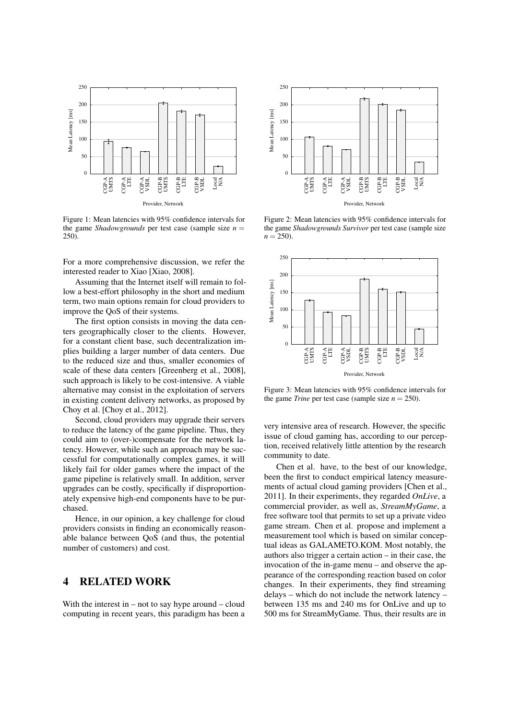<span id="page-4-1"></span>

Figure 1: Mean latencies with 95% confidence intervals for the game *Shadowgrounds* per test case (sample size  $n =$ 250).

For a more comprehensive discussion, we refer the interested reader to Xiao [\[Xiao, 2008\]](#page-6-17).

Assuming that the Internet itself will remain to follow a best-effort philosophy in the short and medium term, two main options remain for cloud providers to improve the QoS of their systems.

The first option consists in moving the data centers geographically closer to the clients. However, for a constant client base, such decentralization implies building a larger number of data centers. Due to the reduced size and thus, smaller economies of scale of these data centers [\[Greenberg et al., 2008\]](#page-6-18), such approach is likely to be cost-intensive. A viable alternative may consist in the exploitation of servers in existing content delivery networks, as proposed by Choy et al. [\[Choy et al., 2012\]](#page-6-2).

Second, cloud providers may upgrade their servers to reduce the latency of the game pipeline. Thus, they could aim to (over-)compensate for the network latency. However, while such an approach may be successful for computationally complex games, it will likely fail for older games where the impact of the game pipeline is relatively small. In addition, server upgrades can be costly, specifically if disproportionately expensive high-end components have to be purchased.

Hence, in our opinion, a key challenge for cloud providers consists in finding an economically reasonable balance between QoS (and thus, the potential number of customers) and cost.

## <span id="page-4-0"></span>4 RELATED WORK

With the interest in  $-$  not to say hype around  $-$  cloud computing in recent years, this paradigm has been a

<span id="page-4-2"></span>

Figure 2: Mean latencies with 95% confidence intervals for the game *Shadowgrounds Survivor* per test case (sample size  $n = 250$ .

<span id="page-4-3"></span>

Figure 3: Mean latencies with 95% confidence intervals for the game *Trine* per test case (sample size  $n = 250$ ).

very intensive area of research. However, the specific issue of cloud gaming has, according to our perception, received relatively little attention by the research community to date.

Chen et al. have, to the best of our knowledge, been the first to conduct empirical latency measurements of actual cloud gaming providers [\[Chen et al.,](#page-6-7) [2011\]](#page-6-7). In their experiments, they regarded *OnLive*, a commercial provider, as well as, *StreamMyGame*, a free software tool that permits to set up a private video game stream. Chen et al. propose and implement a measurement tool which is based on similar conceptual ideas as GALAMETO.KOM. Most notably, the authors also trigger a certain action – in their case, the invocation of the in-game menu – and observe the appearance of the corresponding reaction based on color changes. In their experiments, they find streaming delays – which do not include the network latency – between 135 ms and 240 ms for OnLive and up to 500 ms for StreamMyGame. Thus, their results are in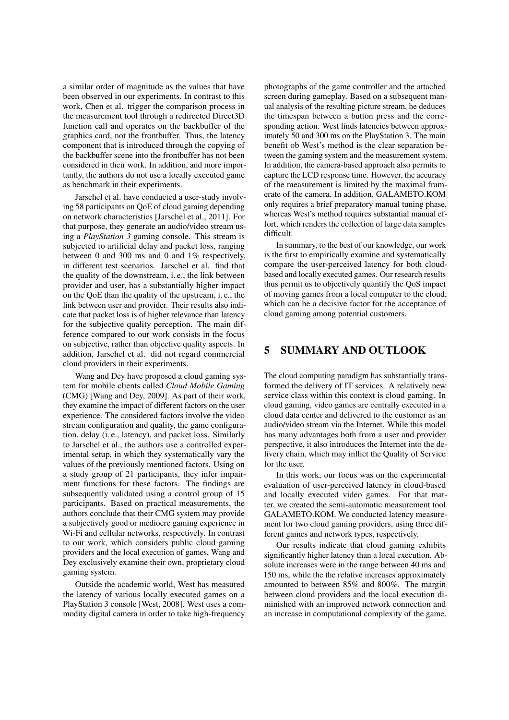a similar order of magnitude as the values that have been observed in our experiments. In contrast to this work, Chen et al. trigger the comparison process in the measurement tool through a redirected Direct3D function call and operates on the backbuffer of the graphics card, not the frontbuffer. Thus, the latency component that is introduced through the copying of the backbuffer scene into the frontbuffer has not been considered in their work. In addition, and more importantly, the authors do not use a locally executed game as benchmark in their experiments.

Jarschel et al. have conducted a user-study involving 58 participants on QoE of cloud gaming depending on network characteristics [\[Jarschel et al., 2011\]](#page-6-3). For that purpose, they generate an audio/video stream using a *PlayStation 3* gaming console. This stream is subjected to artificial delay and packet loss, ranging between 0 and 300 ms and 0 and 1% respectively, in different test scenarios. Jarschel et al. find that the quality of the downstream, i. e., the link between provider and user, has a substantially higher impact on the QoE than the quality of the upstream, i. e., the link between user and provider. Their results also indicate that packet loss is of higher relevance than latency for the subjective quality perception. The main difference compared to our work consists in the focus on subjective, rather than objective quality aspects. In addition, Jarschel et al. did not regard commercial cloud providers in their experiments.

Wang and Dey have proposed a cloud gaming system for mobile clients called *Cloud Mobile Gaming* (CMG) [\[Wang and Dey, 2009\]](#page-6-19). As part of their work, they examine the impact of different factors on the user experience. The considered factors involve the video stream configuration and quality, the game configuration, delay (i. e., latency), and packet loss. Similarly to Jarschel et al., the authors use a controlled experimental setup, in which they systematically vary the values of the previously mentioned factors. Using on a study group of 21 participants, they infer impairment functions for these factors. The findings are subsequently validated using a control group of 15 participants. Based on practical measurements, the authors conclude that their CMG system may provide a subjectively good or mediocre gaming experience in Wi-Fi and cellular networks, respectively. In contrast to our work, which considers public cloud gaming providers and the local execution of games, Wang and Dey exclusively examine their own, proprietary cloud gaming system.

Outside the academic world, West has measured the latency of various locally executed games on a PlayStation 3 console [\[West, 2008\]](#page-6-20). West uses a commodity digital camera in order to take high-frequency photographs of the game controller and the attached screen during gameplay. Based on a subsequent manual analysis of the resulting picture stream, he deduces the timespan between a button press and the corresponding action. West finds latencies between approximately 50 and 300 ms on the PlayStation 3. The main benefit ob West's method is the clear separation between the gaming system and the measurement system. In addition, the camera-based approach also permits to capture the LCD response time. However, the accuracy of the measurement is limited by the maximal framerate of the camera. In addition, GALAMETO.KOM only requires a brief preparatory manual tuning phase, whereas West's method requires substantial manual effort, which renders the collection of large data samples difficult.

In summary, to the best of our knowledge, our work is the first to empirically examine and systematically compare the user-perceived latency for both cloudbased and locally executed games. Our research results thus permit us to objectively quantify the QoS impact of moving games from a local computer to the cloud, which can be a decisive factor for the acceptance of cloud gaming among potential customers.

## <span id="page-5-0"></span>5 SUMMARY AND OUTLOOK

The cloud computing paradigm has substantially transformed the delivery of IT services. A relatively new service class within this context is cloud gaming. In cloud gaming, video games are centrally executed in a cloud data center and delivered to the customer as an audio/video stream via the Internet. While this model has many advantages both from a user and provider perspective, it also introduces the Internet into the delivery chain, which may inflict the Quality of Service for the user.

In this work, our focus was on the experimental evaluation of user-perceived latency in cloud-based and locally executed video games. For that matter, we created the semi-automatic measurement tool GALAMETO.KOM. We conducted latency measurement for two cloud gaming providers, using three different games and network types, respectively.

Our results indicate that cloud gaming exhibits significantly higher latency than a local execution. Absolute increases were in the range between 40 ms and 150 ms, while the the relative increases approximately amounted to between 85% and 800%. The margin between cloud providers and the local execution diminished with an improved network connection and an increase in computational complexity of the game.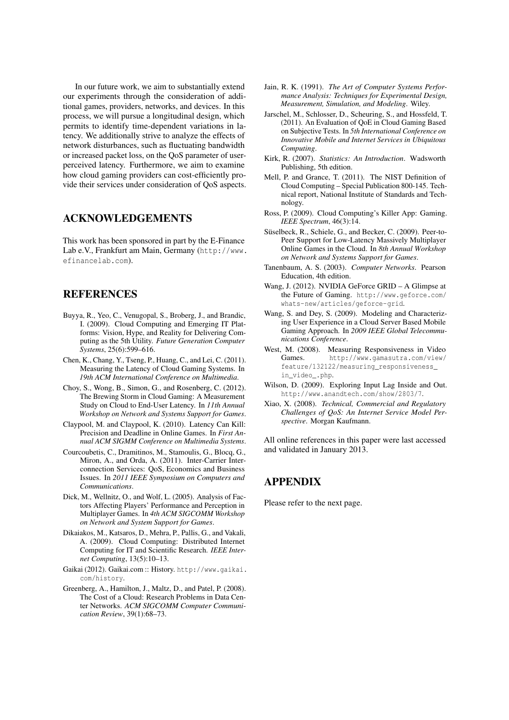In our future work, we aim to substantially extend our experiments through the consideration of additional games, providers, networks, and devices. In this process, we will pursue a longitudinal design, which permits to identify time-dependent variations in latency. We additionally strive to analyze the effects of network disturbances, such as fluctuating bandwidth or increased packet loss, on the QoS parameter of userperceived latency. Furthermore, we aim to examine how cloud gaming providers can cost-efficiently provide their services under consideration of QoS aspects.

#### ACKNOWLEDGEMENTS

This work has been sponsored in part by the E-Finance Lab e.V., Frankfurt am Main, Germany ([http://www.](http://www.efinancelab.com) [efinancelab.com](http://www.efinancelab.com)).

## **REFERENCES**

- <span id="page-6-1"></span>Buyya, R., Yeo, C., Venugopal, S., Broberg, J., and Brandic, I. (2009). Cloud Computing and Emerging IT Platforms: Vision, Hype, and Reality for Delivering Computing as the 5th Utility. *Future Generation Computer Systems*, 25(6):599–616.
- <span id="page-6-7"></span>Chen, K., Chang, Y., Tseng, P., Huang, C., and Lei, C. (2011). Measuring the Latency of Cloud Gaming Systems. In *19th ACM International Conference on Multimedia*.
- <span id="page-6-2"></span>Choy, S., Wong, B., Simon, G., and Rosenberg, C. (2012). The Brewing Storm in Cloud Gaming: A Measurement Study on Cloud to End-User Latency. In *11th Annual Workshop on Network and Systems Support for Games*.
- <span id="page-6-10"></span>Claypool, M. and Claypool, K. (2010). Latency Can Kill: Precision and Deadline in Online Games. In *First Annual ACM SIGMM Conference on Multimedia Systems*.
- <span id="page-6-8"></span>Courcoubetis, C., Dramitinos, M., Stamoulis, G., Blocq, G., Miron, A., and Orda, A. (2011). Inter-Carrier Interconnection Services: QoS, Economics and Business Issues. In *2011 IEEE Symposium on Computers and Communications*.
- <span id="page-6-9"></span>Dick, M., Wellnitz, O., and Wolf, L. (2005). Analysis of Factors Affecting Players' Performance and Perception in Multiplayer Games. In *4th ACM SIGCOMM Workshop on Network and System Support for Games*.
- <span id="page-6-0"></span>Dikaiakos, M., Katsaros, D., Mehra, P., Pallis, G., and Vakali, A. (2009). Cloud Computing: Distributed Internet Computing for IT and Scientific Research. *IEEE Internet Computing*, 13(5):10–13.
- <span id="page-6-13"></span>Gaikai (2012). Gaikai.com :: History. [http://www.gaikai.](http://www.gaikai.com/history) [com/history](http://www.gaikai.com/history).
- <span id="page-6-18"></span>Greenberg, A., Hamilton, J., Maltz, D., and Patel, P. (2008). The Cost of a Cloud: Research Problems in Data Center Networks. *ACM SIGCOMM Computer Communication Review*, 39(1):68–73.
- <span id="page-6-14"></span>Jain, R. K. (1991). *The Art of Computer Systems Performance Analysis: Techniques for Experimental Design, Measurement, Simulation, and Modeling*. Wiley.
- <span id="page-6-3"></span>Jarschel, M., Schlosser, D., Scheuring, S., and Hossfeld, T. (2011). An Evaluation of QoE in Cloud Gaming Based on Subjective Tests. In *5th International Conference on Innovative Mobile and Internet Services in Ubiquitous Computing*.
- <span id="page-6-15"></span>Kirk, R. (2007). *Statistics: An Introduction*. Wadsworth Publishing, 5th edition.
- <span id="page-6-6"></span>Mell, P. and Grance, T. (2011). The NIST Definition of Cloud Computing – Special Publication 800-145. Technical report, National Institute of Standards and Technology.
- <span id="page-6-4"></span>Ross, P. (2009). Cloud Computing's Killer App: Gaming. *IEEE Spectrum*, 46(3):14.
- <span id="page-6-5"></span>Süselbeck, R., Schiele, G., and Becker, C. (2009). Peer-to-Peer Support for Low-Latency Massively Multiplayer Online Games in the Cloud. In *8th Annual Workshop on Network and Systems Support for Games*.
- <span id="page-6-16"></span>Tanenbaum, A. S. (2003). *Computer Networks*. Pearson Education, 4th edition.
- <span id="page-6-11"></span>Wang, J. (2012). NVIDIA GeForce GRID – A Glimpse at the Future of Gaming. [http://www.geforce.com/](http://www.geforce.com/whats-new/articles/geforce-grid) [whats-new/articles/geforce-grid](http://www.geforce.com/whats-new/articles/geforce-grid).
- <span id="page-6-19"></span>Wang, S. and Dey, S. (2009). Modeling and Characterizing User Experience in a Cloud Server Based Mobile Gaming Approach. In *2009 IEEE Global Telecommunications Conference*.
- <span id="page-6-20"></span>West, M. (2008). Measuring Responsiveness in Video Games. [http://www.gamasutra.com/view/](http://www.gamasutra.com/view/feature/132122/measuring_responsiveness_in_video_.php) [feature/132122/measuring\\_responsiveness\\_](http://www.gamasutra.com/view/feature/132122/measuring_responsiveness_in_video_.php) [in\\_video\\_.php](http://www.gamasutra.com/view/feature/132122/measuring_responsiveness_in_video_.php).
- <span id="page-6-12"></span>Wilson, D. (2009). Exploring Input Lag Inside and Out. <http://www.anandtech.com/show/2803/7>.
- <span id="page-6-17"></span>Xiao, X. (2008). *Technical, Commercial and Regulatory Challenges of QoS: An Internet Service Model Perspective*. Morgan Kaufmann.

All online references in this paper were last accessed and validated in January 2013.

# APPENDIX

Please refer to the next page.